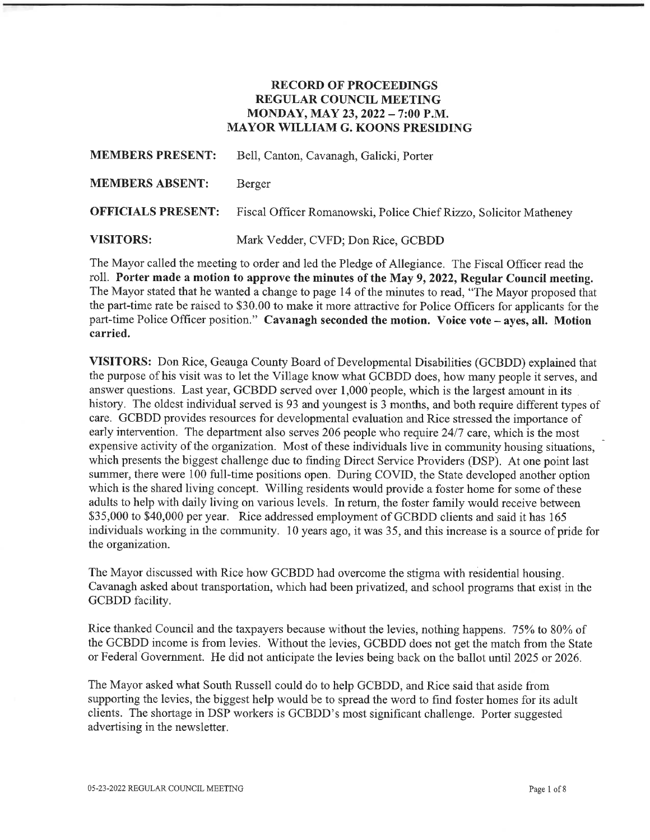### RECORD OF PROCEEDINGS REGULAR COUNCIL MEETING MONDAY, MAY 23, 2022 - 7:00 P.M. MAYOR WILLIAM G. KOONS PRESIDING

| <b>MEMBERS PRESENT:</b>   | Bell, Canton, Cavanagh, Galicki, Porter                           |
|---------------------------|-------------------------------------------------------------------|
| <b>MEMBERS ABSENT:</b>    | Berger                                                            |
| <b>OFFICIALS PRESENT:</b> | Fiscal Officer Romanowski, Police Chief Rizzo, Solicitor Matheney |
| <b>VISITORS:</b>          | Mark Vedder, CVFD; Don Rice, GCBDD                                |

The Mayor called the meeting to order and led the Pledge of Allegiance. The Fiscal Officer read the roll. Porter made a motion to approve the minutes of the May 9, 2022, Regular Council meeting. The Mayor stated that he wanted a change to page 14 of the minutes to read, "The Mayor proposed that the part-time rate be raised to \$30. 00 to make it more attractive for Police Officers for applicants for the part-time Police Officer position." Cavanagh seconded the motion. Voice vote - ayes, all. Motion carried.

VISITORS: Don Rice, Geauga County Board of Developmental Disabilities (GCBDD) explained that the purpose of his visit was to let the Village know what GCBDD does, how many people it serves, and answer questions. Last year, GCBDD served over 1,000 people, which is the largest amount in its history. The oldest individual served is 93 and youngest is 3 months, and both require different types of care. GCBDD provides resources for developmental evaluation and Rice stressed the importance of early intervention. The department also serves 206 people who require 24/7 care, which is the most expensive activity of the organization. Most of these individuals live in community housing sitiations, which presents the biggest challenge due to finding Direct Service Providers (DSP), At one point last summer, there were 100 full-time positions open. During COVID, the State developed another option which is the shared living concept. Willing residents would provide a foster home for some of these adults to help with daily living on various levels. In return, the foster family would receive between \$35,000 to \$40,000 per year. Rice addressed employment of GCBDD clients and said it has 165 individuals working in the community. 10 years ago, it was 35, and this increase is a source of pride for the organization.

The Mayor discussed with Rice how GCBDD had overcome the stigma with residential housing. Cavanagh asked about transportation, which had been privatized, and school programs that exist in the GCBDD facility.

Rice thanked Council and the taxpayers because without the levies, nothing happens. 75% to 80% of the GCBDD income is from levies. Without the levies, GCBDD does not get the match from the State or Federal Government. He did not anticipate the levies being back on the ballot until 2025 or 2026.

The Mayor asked what South Russell could do to help GCBDD, and Rice said that aside from supporting the levies, the biggest help would be to spread the word to find foster homes for its adult clients. The shortage in DSP workers is GCBDD's most significant challenge. Porter suggested advertising in the newsletter.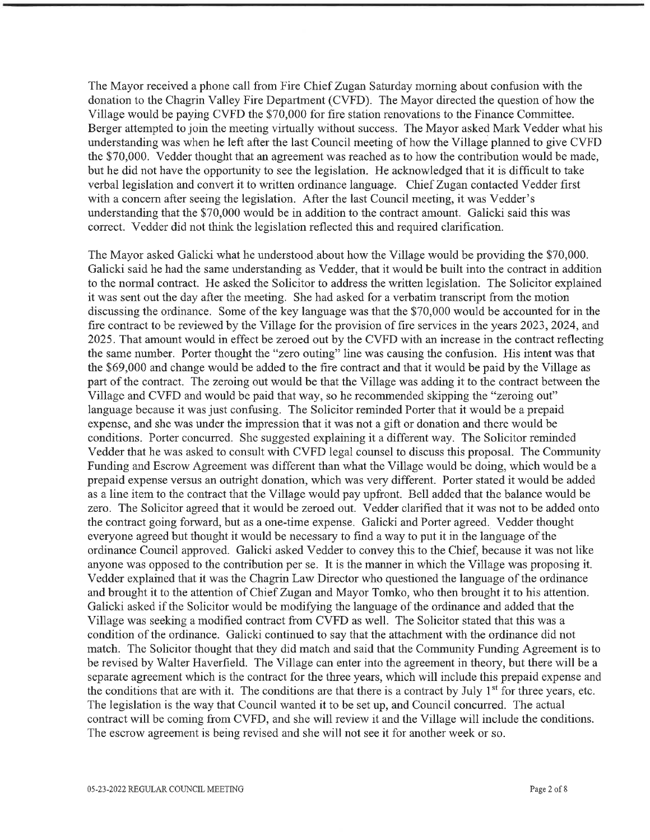The Mayor received a phone call from Fire Chief Zugan Saturday morning about confusion with the donation to the Chagrin Valley Fire Department (CVFD). The Mayor directed the question of how the Village would be paying CVFD the \$70, 000 for fire station renovations to the Finance Committee. Berger attempted to join the meeting virtually without success. The Mayor asked Mark Vedder what his understanding was when he left after the last Council meeting of how the Village planned to give CWD the \$70,000. Vedder thought that an agreement was reached as to how the contribution would be made, but he did not have the opportunity to see the legislation. He acknowledged that it is difficult to take verbal legislation and convert it to written ordinance language. Chief Zugan contacted Vedder first with a concern after seeing the legislation. After the last Council meeting, it was Vedder's understanding that the \$70,000 would be in addition to the contract amount. Galicki said this was correct. Vedder did not think the legislation reflected this and required clarification.

The Mayor asked Galicki what he understood about how the Village would be providing the \$70, 000. Galicki said he had the same understanding as Vedder, that it would be built into the contract in addition to the normal contract. He asked the Solicitor to address the written legislation. The Solicitor explained it was sent out the day after the meeting. She had asked for a verbatim transcript from the motion discussing the ordinance. Some of the key language was that the \$70, 000 would be accounted for in the frre contract to be reviewed by the Village for the provision of fire services in the years 2023, 2024, and 2025. That amount would in effect be zeroed out by the CWD with an increase in the contract reflecting the same number. Porter thought the "zero outing" line was causing the confusion. His intent was that the \$69, 000 and change would be added to the fire contract and that it would be paid by the Village as part of the contract. The zeromg out would be that the Village was adding it to the contract between the Village and CVFD and would be paid that way, so he recommended skipping the "zeroing out" language because it was just confusing. The Solicitor reminded Porter that it would be a prepaid expense, and she was under the impression that it was not a gift or donation and there would be conditions. Porter concurred. She suggested explaining it a different way. The Solicitor reminded Vedder that he was asked to consult with CVFD legal counsel to discuss this proposal. The Community Funding and Escrow Agreement was different than what the Village would be doing, which would be a prepaid expense versus an outright donation, which was very different. Porter stated it would be added as a line item to the contract that the Village would pay upfront. Bell added that the balance would be zero. The Solicitor agreed that it would be zeroed out. Vedder clarified that it was not to be added onto the contract going forward, but as a one-time expense. Galicki and Porter agreed. Vedder thought everyone agreed but thought it would be necessary to find a way to put it in the language of the ordinance Council approved. Galicki asked Vedder to convey this to the Chief, because it was not like anyone was opposed to the contribution per se. It is the manner in which the Village was proposing it. Vedder explained that it was the Chagrin Law Director who questioned the language of the ordinance and brought it to the attention of Chief Zugan and Mayor Tomko, who then brought it to his attention. Galicki asked if the Solicitor would be modifying the language of the ordinance and added that the Village was seeking a modified contract from CVFD as well. The Solicitor stated that this was a condition of the ordinance. Galicki continued to say that the attachment with the ordinance did not match. The Solicitor thought that they did match and said that the Community Funding Agreement is to be revised by Walter Haverfield. The Village can enter into the agreement in theory, but there will be a separate agreement which is the contract for the three years, which will include this prepaid expense and the conditions that are with it. The conditions are that there is a contract by July  $1<sup>st</sup>$  for three years, etc. The legislation is the way that Council wanted it to be set up, and Council concurred. The actual contract will be coming from CVFD, and she will review it and the Village will include the conditions. The escrow agreement is being revised and she will not see it for another week or so.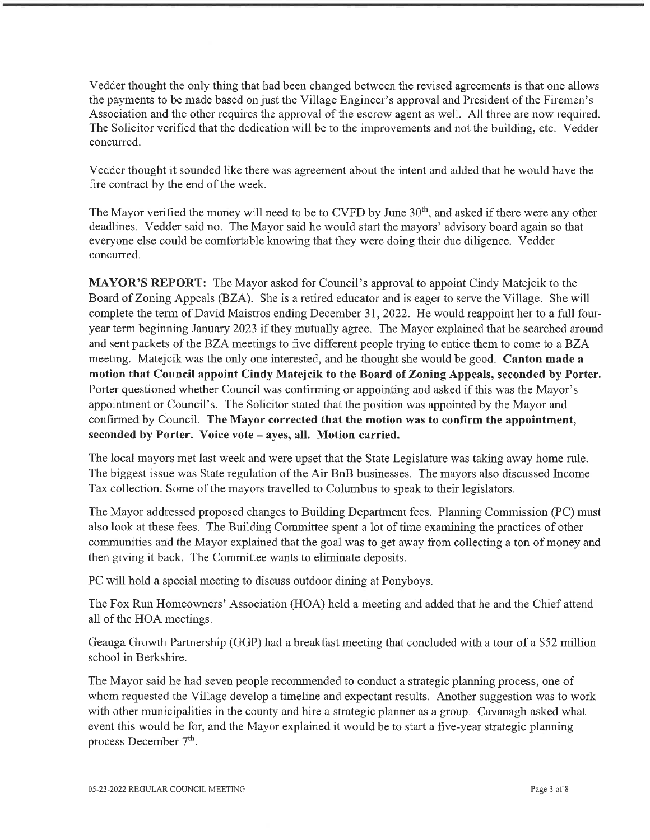Vedder thought the only thing that had been changed between the revised agreements is that one allows the payments to be made based on just the Village Engineer's approval and President of the Firemen's Association and the other requires the approval of the escrow agent as well. All three are now required. The Solicitor verified that the dedication will be to the improvements and not the building, etc. Vedder concurred.

Vedder thought it sounded like there was agreement about the intent and added that he would have the fire contract by the end of the week.

The Mayor verified the money will need to be to CVFD by June 30<sup>th</sup>, and asked if there were any other deadlines. Vedder said no. The Mayor said he would start the mayors' advisory board again so that everyone else could be comfortable knowing that they were doing their due diligence. Vedder concurred.

MAYOR'S REPORT: The Mayor asked for Council's approval to appoint Cindy Matejcik to the Board of Zoning Appeals (BZA). She is a retired educator and is eager to serve the Village. She will complete the term of David Maistros ending December 31, 2022. He would reappoint her to a full fouryear term beginning January 2023 if they mutually agree. The Mayor explained that he searched around and sent packets of the BZA meetings to five different people trying to entice them to come to a BZA meeting. Matejcik was the only one interested, and he thought she would be good. Canton made a motion that Council appoint Cindy Matejcik to the Board of Zoning Appeals, seconded by Porter. Porter questioned whether Council was confirming or appointing and asked if this was the Mayor's appointment or Council's. The Solicitor stated that the position was appointed by the Mayor and confirmed by Council. The Mayor corrected that the motion was to confirm the appointment, seconded by Porter. Voice vote - ayes, all. Motion carried.

The local mayors met last week and were upset that the State Legislature was taking away home rule. The biggest issue was State regulation of the Air BnB businesses. The mayors also discussed Income Tax collection. Some of the mayors travelled to Columbus to speak to their legislators.

The Mayor addressed proposed changes to Building Department fees. Planning Commission (PC) must also look at these fees. The Building Committee spent a lot of time examining the practices of other communities and the Mayor explained that the goal was to get away from collecting a ton of money and then giving it back. The Committee wants to eliminate deposits.

PC will hold a special meeting to discuss outdoor dining at Ponyboys.

The Fox Run Homeowners' Association (HOA) held a meeting and added that he and the Chief attend all of the HOA meetings.

Geauga Growth Partnership (GGP) had a breakfast meeting that concluded with a tour of a \$52 million school in Berkshire.

The Mayor said he had seven people recommended to conduct a strategic planning process, one of whom requested the Village develop a timeline and expectant results. Another suggestion was to work with other municipalities in the county and hire a strategic planner as a group. Cavanagh asked what event this would be for, and the Mayor explained it would be to start a five-year strategic planning process December 7<sup>th</sup>.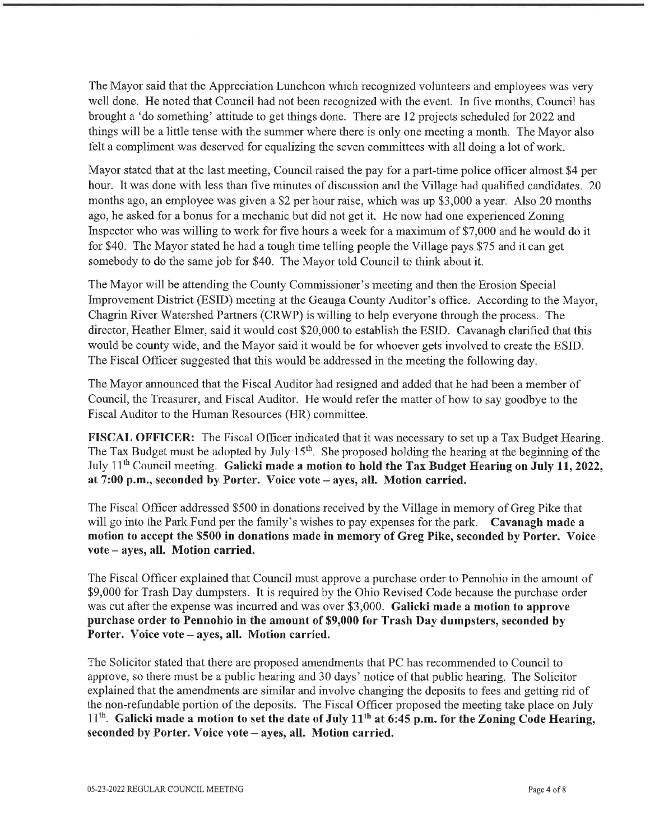The Mayor said that the Appreciation Luncheon which recognized volunteers and employees was very well done. He noted that Council had not been recognized with the event. In five months, Council has brought a 'do something' attitude to get things done. There are 12 projects scheduled for 2022 and things will be a little tense with the summer where there is only one meeting a month. The Mayor also felt a compliment was deserved for equalizing the seven committees with all doing a lot of work.

Mayor stated that at the last meeting, Council raised the pay for a part-time police officer almost \$4 per hour. It was done with less than five minutes of discussion and the Village had qualified candidates. 20 months ago, an employee was given a \$2 per hour raise, which was up \$3, 000 a year. Also 20 months ago, he asked for a bonus for a mechanic but did not get it. He now had one experienced Zoning Inspector who was willing to work for five hours a week for a maximum of \$7,000 and he would do it for \$40. The Mayor stated he had a tough time telling people the Village pays \$75 and it can get somebody to do the same job for \$40. The Mayor told Council to think about it.

The Mayor will be attending the County Commissioner's meeting and then the Erosion Special Improvement District (ESID) meeting at the Geauga County Auditor's office. According to the Mayor, Chagrin River Watershed Partners (CRWP) is willing to help everyone tihrough the process. The director, Heather Elmer, said it would cost \$20, 000 to establish the ESID. Cavanagh clarified that this would be county wide, and the Mayor said it would be for whoever gets involved to create the ESID. The Fiscal Officer suggested that this would be addressed in the meeting the following day.

The Mayor announced that the Fiscal Auditor had resigned and added that he had been a member of Council, the Treasurer, and Fiscal Auditor. He would refer the matter of how to say goodbye to the Fiscal Auditor to the Human Resources (HR) committee.

FISCAL OFFICER: The Fiscal Officer indicated that it was necessary to set up a Tax Budget Hearing. The Tax Budget must be adopted by July 15<sup>th</sup>. She proposed holding the hearing at the beginning of the July 11th Council meeting. Galicki made a motion to hold the Tax Budget Hearing on July 11, 2022, at 7:00 p.m., seconded by Porter. Voice vote - ayes, all. Motion carried.

The Fiscal Officer addressed \$500 in donations received by the Village in memory of Greg Pike that will go into the Park Fund per the family's wishes to pay expenses for the park. Cavanagh made a motion to accept the \$500 in donations made in memory of Greg Pike, seconded by Porter. Voice vote - ayes, all. Motion carried.

The Fiscal Officer explained that Council must approve a purchase order to Pennohio in the amount of \$9,000 for Trash Day dumpsters. It is required by the Ohio Revised Code because the purchase order was cut after the expense was incurred and was over \$3,000. Galicki made a motion to approve purchase order to Pennohio in the amount of \$9,000 for Trash Day dumpsters, seconded by Porter. Voice vote - ayes, all. Motion carried.

The Solicitor stated that there are proposed amendments that PC has recommended to Council to approve, so there must be a public hearing and 30 days' notice of that public hearing. The Solicitor explained that the amendments are similar and involve changing the deposits to fees and getting rid of the non-refundable portion of the deposits. The Fiscal Officer proposed the meeting take place on July  $11<sup>th</sup>$ . Galicki made a motion to set the date of July 11<sup>th</sup> at 6:45 p.m. for the Zoning Code Hearing, seconded by Porter. Voice vote - ayes, all. Motion carried.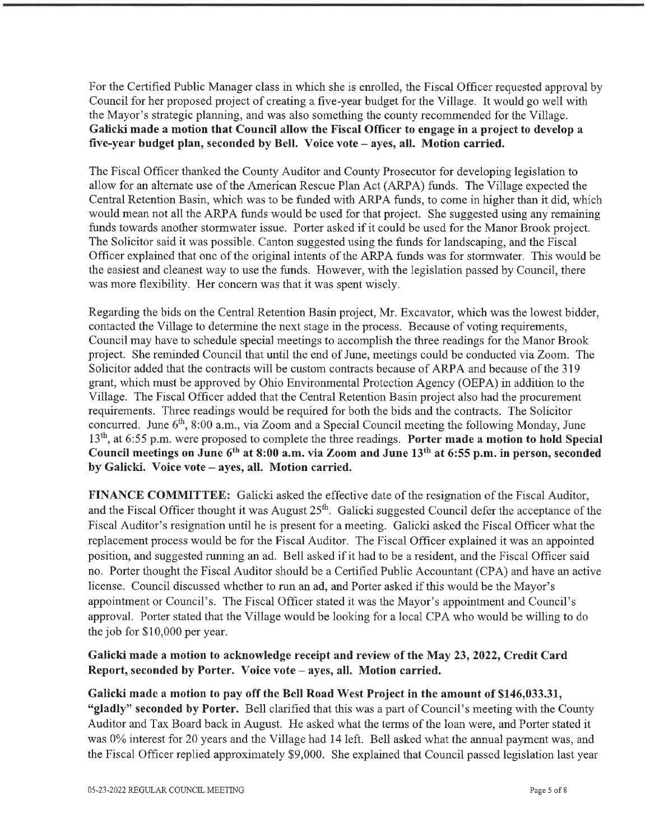For the Certified Public Manager class in which she is enrolled, the Fiscal Officer requested approval by Council for her proposed project of creating a five-year budget for the Village. It would go well with the Mayor's strategic planning, and was also something the county recommended for the Village. Galicki made a motion that Council allow the Fiscal Officer to engage in a project to develop a five-year budget plan, seconded by Bell. Voice vote – ayes, all. Motion carried.

The Fiscal Officer thanked the County Auditor and County Prosecutor for developing legislation to allow for an alternate use of the American Rescue Plan Act (ARPA) funds. The Village expected the Central Retention Basin, which was to be funded with ARPA funds, to come in higher than it did, which would mean not all the ARPA funds would be used for fhat project. She suggested using any remaining fimds towards another stormwater issue. Porter asked if it could be used for the Manor Brook project. The Solicitor said it was possible. Canton suggested using the funds for landscaping, and the Fiscal Officer explained that one of the original intents of the ARPA funds was for stormwater. This would be the easiest and cleanest way to use the funds. However, with the legislation passed by Council, there was more flexibility. Her concern was that it was spent wisely.

Regarding the bids on the Central Retention Basin project, Mr. Excavator, which was the lowest bidder, contacted the Village to determine the next stage in the process. Because of voting requirements, Council may have to schedule special meetings to accomplish the three readings for the Manor Brook project. She reminded Council that until the end of June, meetings could be conducted via Zoom. The Solicitor added that the contracts will be custom contracts because of ARPA and because of the 319 grant, which must be approved by Ohio Environmental Protection Agency (OEPA) in addition to the Village. The Fiscal Officer added that the Central Retention Basin project also had the procurement requirements. Three readings would be required for both the bids and the contracts. The Solicitor concurred. June  $6<sup>th</sup>$ , 8:00 a.m., via Zoom and a Special Council meeting the following Monday, June  $13<sup>th</sup>$ , at 6:55 p.m. were proposed to complete the three readings. Porter made a motion to hold Special Council meetings on June  $6<sup>th</sup>$  at 8:00 a.m. via Zoom and June 13<sup>th</sup> at 6:55 p.m. in person, seconded by Galicki. Voice vote - ayes, all. Motion carried.

FINANCE COMMITTEE: Galicki asked the effective date of the resignation of the Fiscal Auditor, and the Fiscal Officer thought it was August 25<sup>th</sup>. Galicki suggested Council defer the acceptance of the Fiscal Auditor's resignation until he is present for a meeting. Galicki asked the Fiscal Officer what the replacement process would be for the Fiscal Auditor. The Fiscal Officer explained it was an appointed position, and suggested mnning an ad. Bell asked if it had to be a resident, and the Fiscal Officer said no. Porter thought the Fiscal Auditor should be a Certified Public Accountant (CPA) and have an active license. Council discussed whether to run an ad, and Porter asked if this would be the Mayor's appointment or Council's. The Fiscal Officer stated it was the Mayor's appointment and Council's approval. Porter stated that the Village would be looking for a local CPA who would be willing to do the job for \$10,000 per year.

# Galicki made a motion to acknowledge receipt and review of the May 23, 2022, Credit Card Report, seconded by Porter. Voice vote - ayes, all. Motion carried.

Galicki made a motion to pay off the Bell Road West Project in the amount of \$146,033.31, "gladly" seconded by Porter. Bell clarified that this was a part of Council's meeting with the County Auditor and Tax Board back in August. He asked what the terms of the loan were, and Porter stated it was 0% interest for 20 years and the Village had 14 left. Bell asked what the annual payment was, and the Fiscal Officer replied approximately \$9,000. She explained that Council passed legislation last year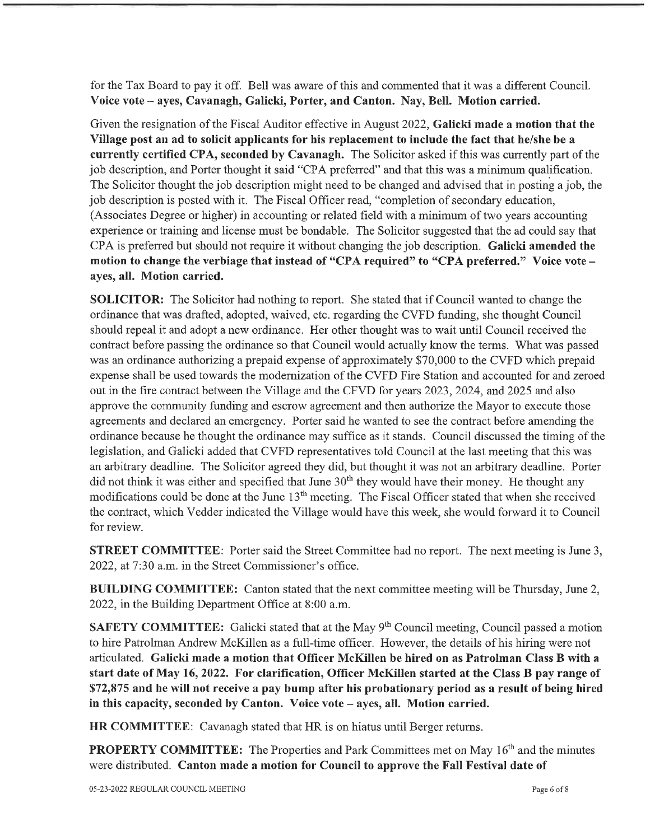for the Tax Board to pay it off. Bell was aware of this and commented that it was a different Council. Voice vote - ayes, Cavanagh, Galicki, Porter, and Canton. Nay, Bell. Motion carried.

Given the resignation of the Fiscal Auditor effective in August 2022, Galicki made a motion that the Village post an ad to solicit applicants for his replacement to include the fact that he/she be a currently certified CPA, seconded by Cavanagh. The Solicitor asked if this was currently part of the job description, and Porter thought it said "CPA preferred" and that this was a minimum qualification. The Solicitor thought the job description might need to be changed and advised that in posting a job, the job description is posted with it. The Fiscal Officer read, "completion of secondary education, (Associates Degree or higher) in accounting or related field with a minimum of two years accounting experience or training and license must be bondable. The Solicitor suggested that the ad could say that CPA is preferred but should not require it without changing the job description. Galicki amended the motion to change the verbiage that instead of "CPA required" to "CPA preferred." Voice vote ayes, all. Motion carried.

SOLICITOR: The Solicitor had nothing to report. She stated that if Council wanted to change the ordinance that was drafted, adopted, waived, etc. regarding the CVFD funding, she thought Council should repeal it and adopt a new ordinance. Her other thought was to wait until Council received the contract before passing the ordinance so that Council would actually know the terms. What was passed was an ordinance authorizing a prepaid expense of approximately \$70, 000 to the CVFD which prepaid expense shall be used towards the modernization of the CVFD Fire Station and accounted for and zeroed out in the fire contract between the Village and the CFVD for years 2023, 2024, and 2025 and also approve the community funding and escrow agreement and then authorize the Mayor to execute those agreements and declared an emergency. Porter said he wanted to see the contract before amending the ordinance because he thought the ordinance may suffice as it stands. Council discussed the timing of the legislation, and Galicki added that CVFD representatives told Council at the last meeting that this was an arbitrary deadline. The Solicitor agreed they did, but thought it was not an arbitrary deadline. Porter did not think it was either and specified that June  $30<sup>th</sup>$  they would have their money. He thought any modifications could be done at the June 13<sup>th</sup> meeting. The Fiscal Officer stated that when she received the contract, which Vedder indicated the Village would have this week, she would forward it to Council for review.

STREET COMMITTEE: Porter said the Street Committee had no report. The next meeting is June 3, 2022, at 7:30 a.m. in the Street Commissioner's office.

BUILDING COMMITTEE: Canton stated that the next committee meeting will be Thursday, June 2, 2022, in the Building Department Office at 8:00 a.m.

SAFETY COMMITTEE: Galicki stated that at the May 9<sup>th</sup> Council meeting, Council passed a motion to hire Patrolman Andrew McKillen as a full-time officer. However, the details of his hiring were not articulated. Galicki made a motion that Officer McKillen be hired on as Patrolman Class B with a start date of May 16, 2022. For clarification, Officer McKillen started at the Class B pay range of \$72,875 and he will not receive a pay bump after his probationary period as a result of being hired in this capacity, seconded by Canton. Voice vote - ayes, all. Motion carried.

HR COMMITTEE: Cavanagh stated that HR is on hiatus until Berger returns.

PROPERTY COMMITTEE: The Properties and Park Committees met on May 16<sup>th</sup> and the minutes were distributed. Canton made a motion for Council to approve the Fall Festival date of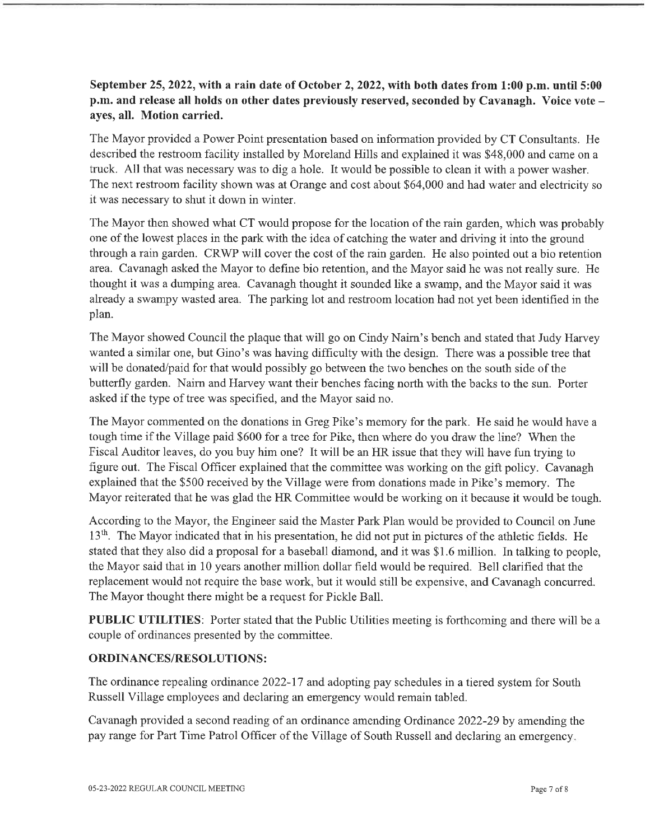# September 25, 2022, with a rain date of October 2, 2022, with both dates from 1:00 p.m. until 5:00 p.m. and release all holds on other dates previously reserved, seconded by Cavanagh. Voice vote ayes, all. Motion carried.

The Mayor provided a Power Point presentation based on information provided by CT Consultants. He described the restroom facility installed by Moreland Hills and explained it was \$48, 000 and came on a tmck. All that was necessary was to dig a hole. It would be possible to clean it with a power washer. The next restroom facility shown was at Orange and cost about \$64,000 and had water and electricity so it was necessary to shut it down in winter.

The Mayor then showed what CT would propose for the location of the rain garden, which was probably one of the lowest places in the park with the idea of catching the water and driving it into the ground through a rain garden. CRWP will cover the cost of the rain garden. He also pointed out a bio retention area. Cavanagh asked the Mayor to defme bio retention, and the Mayor said he was not really sure. He thought it was a dumping area. Cavanagh thought it sounded like a swamp, and the Mayor said it was already a swampy wasted area. The parking lot and restroom location had not yet been identified in the plan.

The Mayor showed Council the plaque that will go on Cindy Nairn's bench and stated that Judy Harvey wanted a similar one, but Gino's was having difficulty with the design. There was a possible tree that will be donated/paid for that would possibly go between the two benches on the south side of the butterfly garden. Nairn and Harvey want their benches facing north with the backs to the sun. Porter asked if the type of tree was specified, and the Mayor said no.

The Mayor commented on the donations in Greg Pike's memory for the park. He said he would have a tough time if the Village paid \$600 for a tree for Pike, then where do you draw the line? When the Fiscal Auditor leaves, do you buy him one? It will be an HR issue that they will have fun trying to figure out. The Fiscal Officer explained that the committee was working on the gift policy. Cavanagh explained that the \$500 received by the Village were from donations made in Pike's memory. The Mayor reiterated that he was glad the HR Committee would be working on it because it would be tough.

According to the Mayor, the Engineer said the Master Park Plan would be provided to Council on June 13<sup>th</sup>. The Mayor indicated that in his presentation, he did not put in pictures of the athletic fields. He stated that they also did a proposal for a baseball diamond, and it was \$1.6 million. In talking to people, the Mayor said that in 10 years another million dollar field would be required. Bell clarified that the replacement would not require the base work, but it would still be expensive, and Cavanagh concurred. The Mayor thought there might be a request for Pickle Ball.

PUBLIC UTILITIES: Porter stated that the Public Utilities meeting is forthcoming and there will be a couple of ordinances presented by the committee.

### ORDINANCES/RESOLUTIONS:

The ordinance repealing ordinance 2022-17 and adopting pay schedules in a tiered system for South Russell Village employees and declaring an emergency would remain tabled.

Cavanagh provided a second reading of an ordinance amending Ordinance 2022-29 by amending the pay range for Part Time Patrol Officer of the Village of South Russell and declaring an emergency.